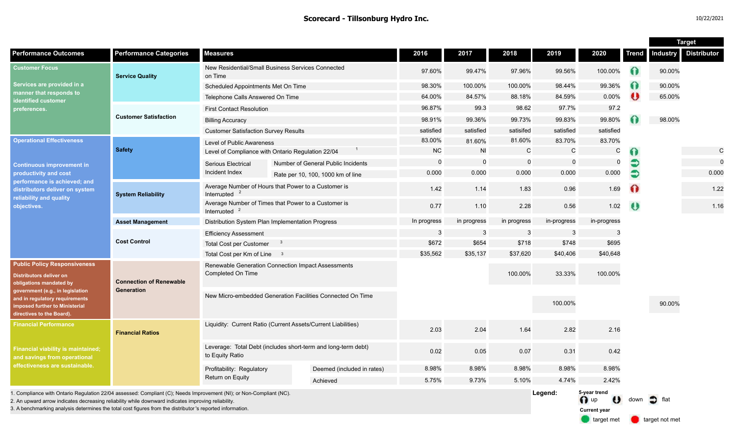|                                                                                                                                                                                                                                                                                                                                        |                                              |                                                                                  |  |                                    |             |                |             |             |                                             |              | <b>Target</b>   |                    |
|----------------------------------------------------------------------------------------------------------------------------------------------------------------------------------------------------------------------------------------------------------------------------------------------------------------------------------------|----------------------------------------------|----------------------------------------------------------------------------------|--|------------------------------------|-------------|----------------|-------------|-------------|---------------------------------------------|--------------|-----------------|--------------------|
| <b>Performance Outcomes</b>                                                                                                                                                                                                                                                                                                            | <b>Performance Categories</b>                | <b>Measures</b>                                                                  |  |                                    | 2016        | 2017           | 2018        | 2019        | 2020                                        | <b>Trend</b> | <b>Industry</b> | <b>Distributor</b> |
| <b>Customer Focus</b><br>Services are provided in a<br>manner that responds to<br>identified customer<br>preferences.                                                                                                                                                                                                                  | <b>Service Quality</b>                       | New Residential/Small Business Services Connected<br>on Time                     |  | 97.60%                             | 99.47%      | 97.96%         | 99.56%      | 100.00%     | $\Omega$                                    | 90.00%       |                 |                    |
|                                                                                                                                                                                                                                                                                                                                        |                                              | Scheduled Appointments Met On Time                                               |  |                                    | 98.30%      | 100.00%        | 100.00%     | 98.44%      | 99.36%                                      | $\Omega$     | 90.00%          |                    |
|                                                                                                                                                                                                                                                                                                                                        |                                              | Telephone Calls Answered On Time                                                 |  |                                    | 64.00%      | 84.57%         | 88.18%      | 84.59%      | 0.00%                                       | $\bullet$    | 65.00%          |                    |
|                                                                                                                                                                                                                                                                                                                                        | <b>Customer Satisfaction</b>                 | <b>First Contact Resolution</b>                                                  |  |                                    | 96.87%      | 99.3           | 98.62       | 97.7%       | 97.2                                        |              |                 |                    |
|                                                                                                                                                                                                                                                                                                                                        |                                              | <b>Billing Accuracy</b>                                                          |  |                                    | 98.91%      | 99.36%         | 99.73%      | 99.83%      | 99.80%                                      |              | 98.00%          |                    |
|                                                                                                                                                                                                                                                                                                                                        |                                              | <b>Customer Satisfaction Survey Results</b>                                      |  |                                    | satisfied   | satisfied      | satisifed   | satisfied   | satisfied                                   |              |                 |                    |
| <b>Operational Effectiveness</b><br><b>Continuous improvement in</b><br>productivity and cost<br>performance is achieved; and<br>distributors deliver on system<br>reliability and quality<br>objectives.                                                                                                                              | <b>Safety</b>                                | Level of Public Awareness                                                        |  |                                    | 83.00%      | 81.60%         | 81.60%      | 83.70%      | 83.70%                                      |              |                 |                    |
|                                                                                                                                                                                                                                                                                                                                        |                                              | Level of Compliance with Ontario Regulation 22/04                                |  |                                    | <b>NC</b>   | <b>NI</b>      | C           | C           | C                                           | 0            |                 | $\mathsf{C}$       |
|                                                                                                                                                                                                                                                                                                                                        |                                              | <b>Serious Electrical</b>                                                        |  | Number of General Public Incidents | $\mathbf 0$ | $\overline{0}$ | $\mathbf 0$ | $\mathbf 0$ | $\mathbf 0$                                 | €            |                 | $\mathbf 0$        |
|                                                                                                                                                                                                                                                                                                                                        |                                              | Incident Index                                                                   |  | Rate per 10, 100, 1000 km of line  | 0.000       | 0.000          | 0.000       | 0.000       | 0.000                                       | €            |                 | 0.000              |
|                                                                                                                                                                                                                                                                                                                                        | <b>System Reliability</b>                    | Average Number of Hours that Power to a Customer is<br>Interrupted $2$           |  |                                    | 1.42        | 1.14           | 1.83        | 0.96        | 1.69                                        | $\Omega$     |                 | 1.22               |
|                                                                                                                                                                                                                                                                                                                                        |                                              | Average Number of Times that Power to a Customer is<br>Interrupted               |  |                                    | 0.77        | 1.10           | 2.28        | 0.56        | 1.02                                        | $\bullet$    |                 | 1.16               |
|                                                                                                                                                                                                                                                                                                                                        | <b>Asset Management</b>                      | Distribution System Plan Implementation Progress                                 |  |                                    | In progress | in progress    | in progress | in-progress | in-progress                                 |              |                 |                    |
|                                                                                                                                                                                                                                                                                                                                        | <b>Cost Control</b>                          | <b>Efficiency Assessment</b>                                                     |  |                                    | -3          | $\mathbf{3}$   | 3           | 3           | 3                                           |              |                 |                    |
|                                                                                                                                                                                                                                                                                                                                        |                                              | <b>Total Cost per Customer</b><br>- 3                                            |  |                                    | \$672       | \$654          | \$718       | \$748       | \$695                                       |              |                 |                    |
|                                                                                                                                                                                                                                                                                                                                        |                                              | Total Cost per Km of Line 3                                                      |  |                                    | \$35,562    | \$35,137       | \$37,620    | \$40,406    | \$40,648                                    |              |                 |                    |
| <b>Public Policy Responsiveness</b><br><b>Distributors deliver on</b><br>obligations mandated by<br>government (e.g., in legislation<br>and in regulatory requirements<br>imposed further to Ministerial<br>directives to the Board).                                                                                                  | <b>Connection of Renewable</b><br>Generation | Renewable Generation Connection Impact Assessments<br>Completed On Time          |  |                                    |             |                | 100.00%     | 33.33%      | 100.00%                                     |              |                 |                    |
|                                                                                                                                                                                                                                                                                                                                        |                                              | New Micro-embedded Generation Facilities Connected On Time                       |  |                                    |             |                |             | 100.00%     |                                             |              | 90.00%          |                    |
| <b>Financial Performance</b>                                                                                                                                                                                                                                                                                                           | <b>Financial Ratios</b>                      | Liquidity: Current Ratio (Current Assets/Current Liabilities)                    |  |                                    | 2.03        | 2.04           | 1.64        | 2.82        | 2.16                                        |              |                 |                    |
| <b>Financial viability is maintained;</b><br>and savings from operational<br>effectiveness are sustainable.                                                                                                                                                                                                                            |                                              | Leverage: Total Debt (includes short-term and long-term debt)<br>to Equity Ratio |  |                                    | 0.02        | 0.05           | 0.07        | 0.31        | 0.42                                        |              |                 |                    |
|                                                                                                                                                                                                                                                                                                                                        |                                              | Profitability: Regulatory                                                        |  | Deemed (included in rates)         | 8.98%       | 8.98%          | 8.98%       | 8.98%       | 8.98%                                       |              |                 |                    |
|                                                                                                                                                                                                                                                                                                                                        |                                              | Return on Equity                                                                 |  | Achieved                           | 5.75%       | 9.73%          | 5.10%       | 4.74%       | 2.42%                                       |              |                 |                    |
| 1. Compliance with Ontario Regulation 22/04 assessed: Compliant (C); Needs Improvement (NI); or Non-Compliant (NC).<br>2. An upward arrow indicates decreasing reliability while downward indicates improving reliability<br>3. A benchmarking analysis determines the total cost figures from the distributor's reported information. |                                              |                                                                                  |  |                                    |             |                |             | Legend:     | 5-year trend<br>n up<br><b>Current year</b> | down         | flat            |                    |

target met **target not met**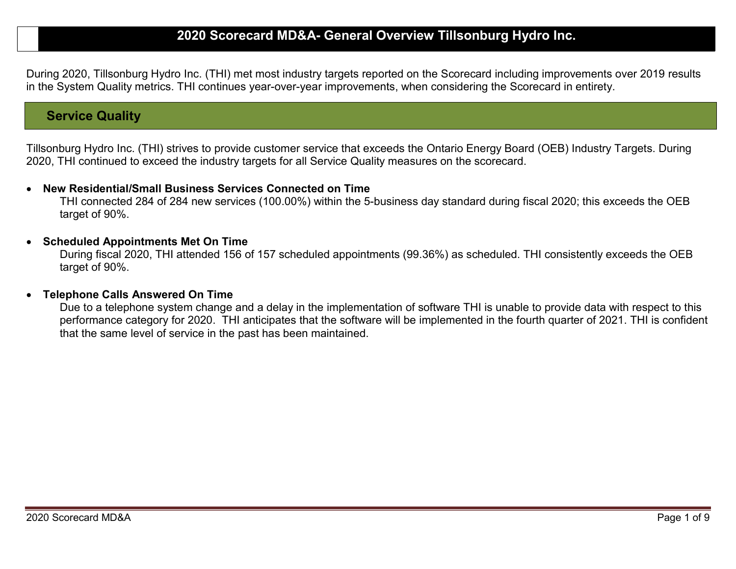# 2020 Scorecard MD&A- General Overview Tillsonburg Hydro Inc.

During 2020, Tillsonburg Hydro Inc. (THI) met most industry targets reported on the Scorecard including improvements over 2019 results in the System Quality metrics. THI continues year-over-year improvements, when considering the Scorecard in entirety.

## Service Quality

Tillsonburg Hydro Inc. (THI) strives to provide customer service that exceeds the Ontario Energy Board (OEB) Industry Targets. During 2020, THI continued to exceed the industry targets for all Service Quality measures on the scorecard.

#### New Residential/Small Business Services Connected on Time

THI connected 284 of 284 new services (100.00%) within the 5-business day standard during fiscal 2020; this exceeds the OEB target of 90%.

#### • Scheduled Appointments Met On Time

During fiscal 2020, THI attended 156 of 157 scheduled appointments (99.36%) as scheduled. THI consistently exceeds the OEB target of 90%.

#### Telephone Calls Answered On Time

Due to a telephone system change and a delay in the implementation of software THI is unable to provide data with respect to this performance category for 2020. THI anticipates that the software will be implemented in the fourth quarter of 2021. THI is confident that the same level of service in the past has been maintained.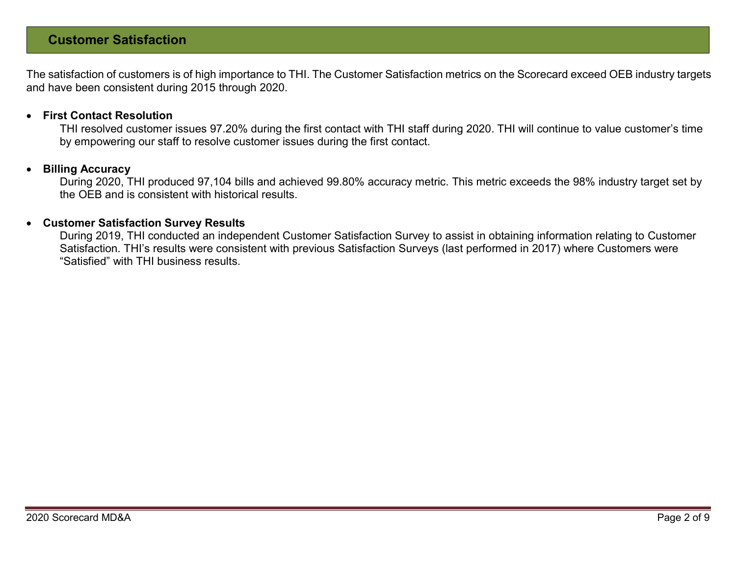# Customer Satisfaction

The satisfaction of customers is of high importance to THI. The Customer Satisfaction metrics on the Scorecard exceed OEB industry targets and have been consistent during 2015 through 2020.

#### First Contact Resolution

THI resolved customer issues 97.20% during the first contact with THI staff during 2020. THI will continue to value customer's time by empowering our staff to resolve customer issues during the first contact.

#### Billing Accuracy

During 2020, THI produced 97,104 bills and achieved 99.80% accuracy metric. This metric exceeds the 98% industry target set by the OEB and is consistent with historical results.

#### Customer Satisfaction Survey Results

During 2019, THI conducted an independent Customer Satisfaction Survey to assist in obtaining information relating to Customer Satisfaction. THI's results were consistent with previous Satisfaction Surveys (last performed in 2017) where Customers were "Satisfied" with THI business results.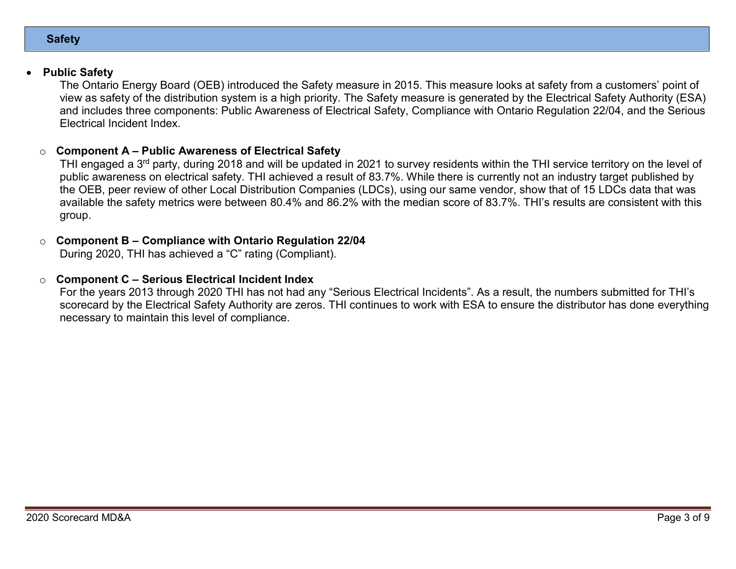#### **Safety**

## Public Safety

The Ontario Energy Board (OEB) introduced the Safety measure in 2015. This measure looks at safety from a customers' point of view as safety of the distribution system is a high priority. The Safety measure is generated by the Electrical Safety Authority (ESA) and includes three components: Public Awareness of Electrical Safety, Compliance with Ontario Regulation 22/04, and the Serious Electrical Incident Index.

#### Component A – Public Awareness of Electrical Safety

THI engaged a 3<sup>rd</sup> party, during 2018 and will be updated in 2021 to survey residents within the THI service territory on the level of public awareness on electrical safety. THI achieved a result of 83.7%. While there is currently not an industry target published by the OEB, peer review of other Local Distribution Companies (LDCs), using our same vendor, show that of 15 LDCs data that was available the safety metrics were between 80.4% and 86.2% with the median score of 83.7%. THI's results are consistent with this group.

### $\circ$  Component B – Compliance with Ontario Regulation 22/04

During 2020, THI has achieved a "C" rating (Compliant).

### $\circ$  Component C – Serious Electrical Incident Index

For the years 2013 through 2020 THI has not had any "Serious Electrical Incidents". As a result, the numbers submitted for THI's scorecard by the Electrical Safety Authority are zeros. THI continues to work with ESA to ensure the distributor has done everything necessary to maintain this level of compliance.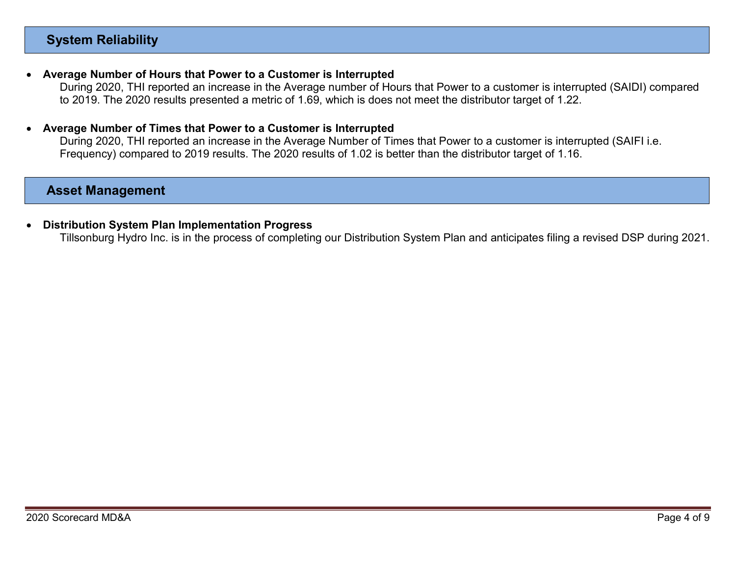# System Reliability

#### Average Number of Hours that Power to a Customer is Interrupted

During 2020, THI reported an increase in the Average number of Hours that Power to a customer is interrupted (SAIDI) compared to 2019. The 2020 results presented a metric of 1.69, which is does not meet the distributor target of 1.22.

#### Average Number of Times that Power to a Customer is Interrupted

During 2020, THI reported an increase in the Average Number of Times that Power to a customer is interrupted (SAIFI i.e. Frequency) compared to 2019 results. The 2020 results of 1.02 is better than the distributor target of 1.16.

## Asset Management

#### Distribution System Plan Implementation Progress

Tillsonburg Hydro Inc. is in the process of completing our Distribution System Plan and anticipates filing a revised DSP during 2021.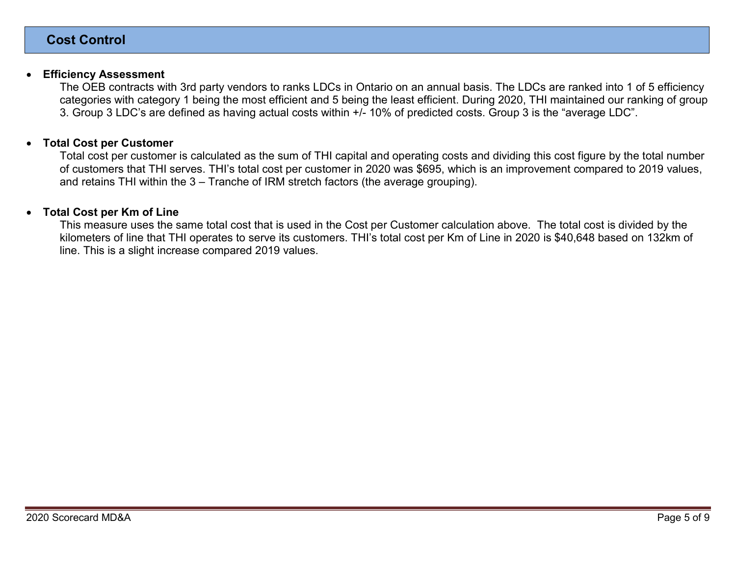#### Efficiency Assessment

The OEB contracts with 3rd party vendors to ranks LDCs in Ontario on an annual basis. The LDCs are ranked into 1 of 5 efficiency categories with category 1 being the most efficient and 5 being the least efficient. During 2020, THI maintained our ranking of group 3. Group 3 LDC's are defined as having actual costs within +/- 10% of predicted costs. Group 3 is the "average LDC".

#### Total Cost per Customer

Total cost per customer is calculated as the sum of THI capital and operating costs and dividing this cost figure by the total number of customers that THI serves. THI's total cost per customer in 2020 was \$695, which is an improvement compared to 2019 values, and retains THI within the 3 – Tranche of IRM stretch factors (the average grouping).

#### Total Cost per Km of Line

This measure uses the same total cost that is used in the Cost per Customer calculation above. The total cost is divided by the kilometers of line that THI operates to serve its customers. THI's total cost per Km of Line in 2020 is \$40,648 based on 132km of line. This is a slight increase compared 2019 values.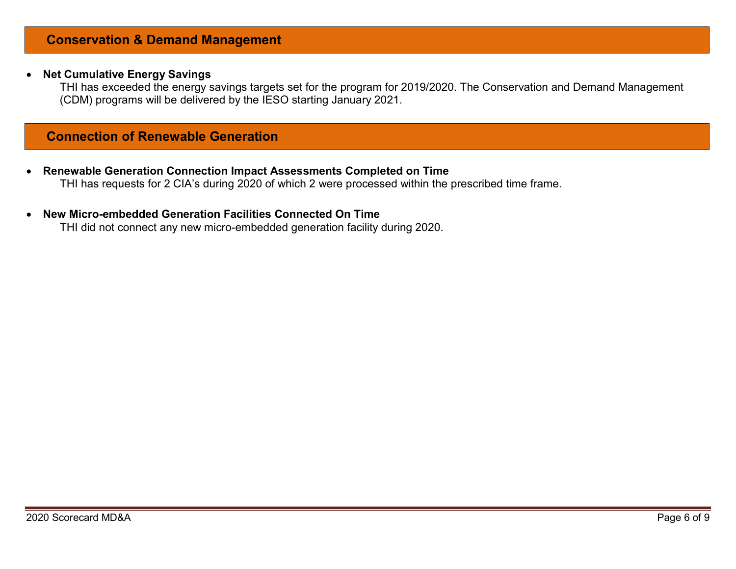## Conservation & Demand Management

#### • Net Cumulative Energy Savings

THI has exceeded the energy savings targets set for the program for 2019/2020. The Conservation and Demand Management (CDM) programs will be delivered by the IESO starting January 2021.

## Connection of Renewable Generation

- Renewable Generation Connection Impact Assessments Completed on Time THI has requests for 2 CIA's during 2020 of which 2 were processed within the prescribed time frame.
- New Micro-embedded Generation Facilities Connected On Time

THI did not connect any new micro-embedded generation facility during 2020.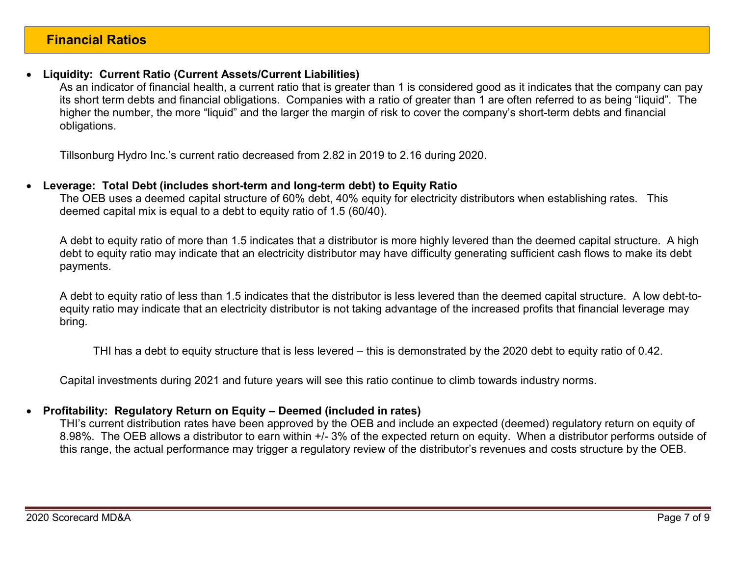## Liquidity: Current Ratio (Current Assets/Current Liabilities)

As an indicator of financial health, a current ratio that is greater than 1 is considered good as it indicates that the company can pay its short term debts and financial obligations. Companies with a ratio of greater than 1 are often referred to as being "liquid". The higher the number, the more "liquid" and the larger the margin of risk to cover the company's short-term debts and financial obligations.

Tillsonburg Hydro Inc.'s current ratio decreased from 2.82 in 2019 to 2.16 during 2020.

### Leverage: Total Debt (includes short-term and long-term debt) to Equity Ratio

The OEB uses a deemed capital structure of 60% debt, 40% equity for electricity distributors when establishing rates. This deemed capital mix is equal to a debt to equity ratio of 1.5 (60/40).

A debt to equity ratio of more than 1.5 indicates that a distributor is more highly levered than the deemed capital structure. A high debt to equity ratio may indicate that an electricity distributor may have difficulty generating sufficient cash flows to make its debt payments.

A debt to equity ratio of less than 1.5 indicates that the distributor is less levered than the deemed capital structure. A low debt-toequity ratio may indicate that an electricity distributor is not taking advantage of the increased profits that financial leverage may bring.

THI has a debt to equity structure that is less levered – this is demonstrated by the 2020 debt to equity ratio of 0.42.

Capital investments during 2021 and future years will see this ratio continue to climb towards industry norms.

## Profitability: Regulatory Return on Equity – Deemed (included in rates)

THI's current distribution rates have been approved by the OEB and include an expected (deemed) regulatory return on equity of 8.98%. The OEB allows a distributor to earn within +/- 3% of the expected return on equity. When a distributor performs outside of this range, the actual performance may trigger a regulatory review of the distributor's revenues and costs structure by the OEB.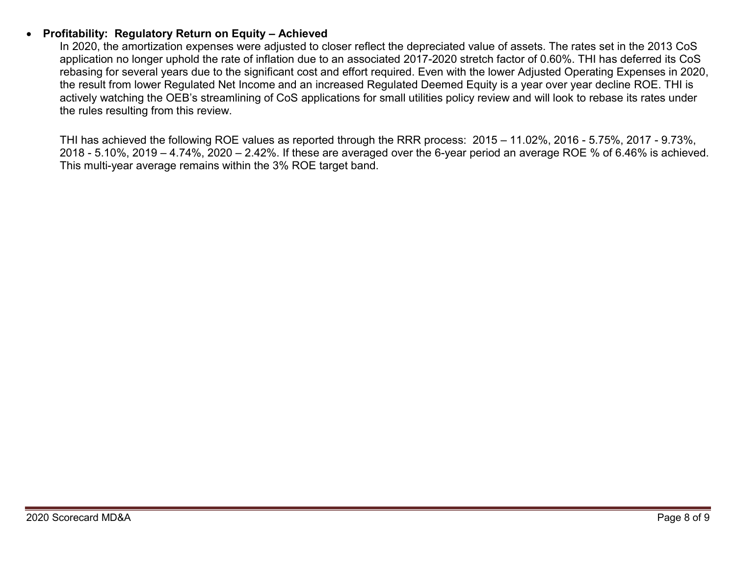## Profitability: Regulatory Return on Equity – Achieved

In 2020, the amortization expenses were adjusted to closer reflect the depreciated value of assets. The rates set in the 2013 CoS application no longer uphold the rate of inflation due to an associated 2017-2020 stretch factor of 0.60%. THI has deferred its CoS rebasing for several years due to the significant cost and effort required. Even with the lower Adjusted Operating Expenses in 2020, the result from lower Regulated Net Income and an increased Regulated Deemed Equity is a year over year decline ROE. THI is actively watching the OEB's streamlining of CoS applications for small utilities policy review and will look to rebase its rates under the rules resulting from this review.

THI has achieved the following ROE values as reported through the RRR process: 2015 – 11.02%, 2016 - 5.75%, 2017 - 9.73%, 2018 - 5.10%, 2019 – 4.74%, 2020 – 2.42%. If these are averaged over the 6-year period an average ROE % of 6.46% is achieved. This multi-year average remains within the 3% ROE target band.